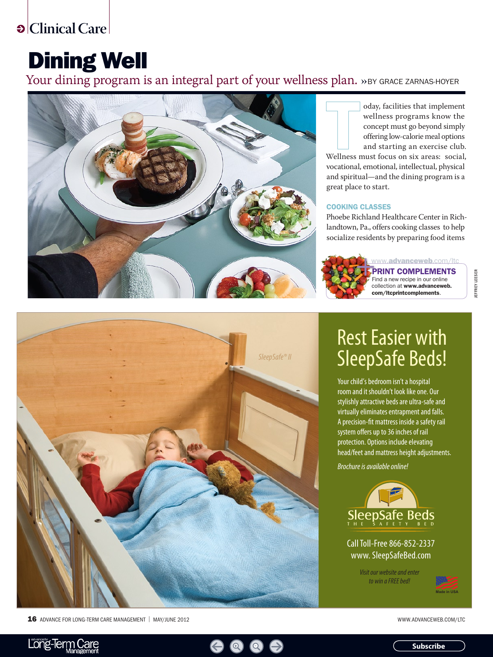**Clinical Care** 

# Dining Well

Your dining program is an integral part of your wellness plan. »BY GRACE ZARNAS-HOYER



oday, facilities that implement wellness programs know the concept must go beyond simply offering low-calorie meal options and starting an exercise club.

Wellness must focus on six areas: social, vocational, emotional, intellectual, physical and spiritual—and the dining program is a great place to start.

### Cooking Classes

Phoebe Richland Healthcare Center in Richlandtown, Pa., offers cooking classes to help socialize residents by preparing food items



Print Complements Find a new recipe in our online collection at www.advanceweb. com/ltcprintcomplements.



16 ADVANCE FOR LONG-TERM CARE MANAGEMENT | MAY/JUNE 2012 WWW.ADVANCEWEB.COM/LTC

# Rest Easier with SleepSafe Beds!

Your child's bedroom isn't a hospital room and it shouldn't look like one. Our stylishly attractive beds are ultra-safe and virtually eliminates entrapment and falls. A precision-fit mattress inside a safety rail system offers up to 36 inches of rail protection. Options include elevating head/feet and mattress height adjustments.

*Brochure is available online!*



Call Toll-Free 866-852-2337 www. SleepSafeBed.com

> *Visit our website and enter to win a FREE bed!*







**Subscribe**